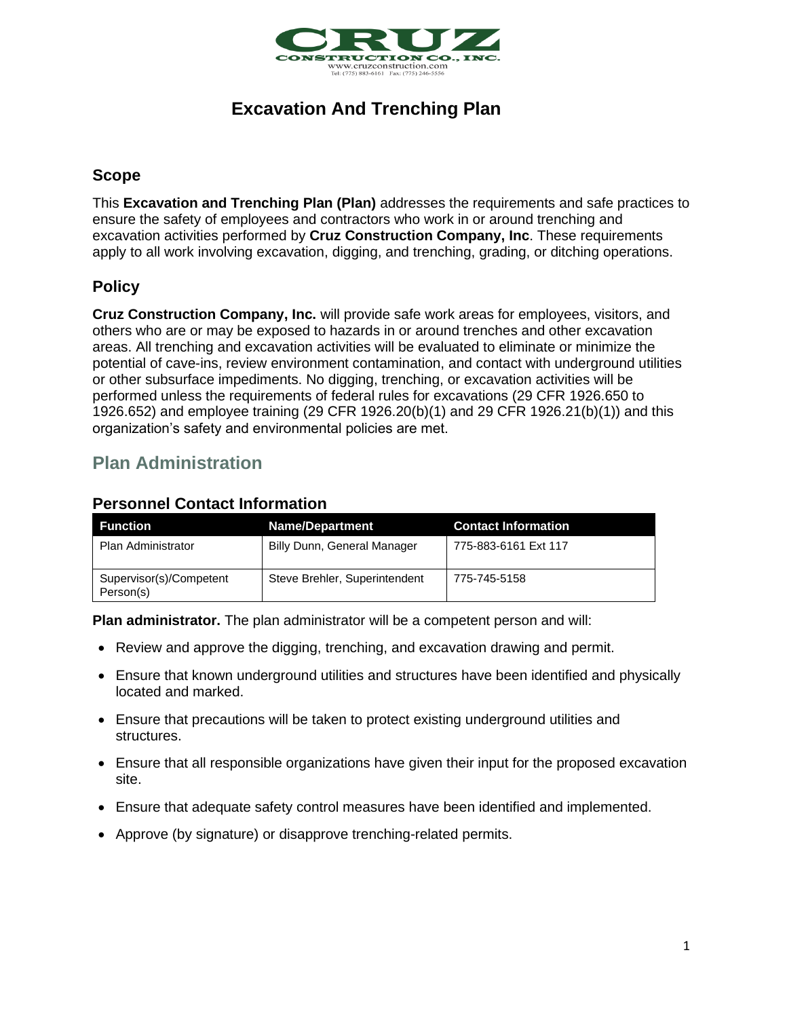

# **Excavation And Trenching Plan**

## **Scope**

This **Excavation and Trenching Plan (Plan)** addresses the requirements and safe practices to ensure the safety of employees and contractors who work in or around trenching and excavation activities performed by **Cruz Construction Company, Inc**. These requirements apply to all work involving excavation, digging, and trenching, grading, or ditching operations.

## **Policy**

**Cruz Construction Company, Inc.** will provide safe work areas for employees, visitors, and others who are or may be exposed to hazards in or around trenches and other excavation areas. All trenching and excavation activities will be evaluated to eliminate or minimize the potential of cave-ins, review environment contamination, and contact with underground utilities or other subsurface impediments. No digging, trenching, or excavation activities will be performed unless the requirements of federal rules for excavations (29 CFR 1926.650 to 1926.652) and employee training (29 CFR 1926.20(b)(1) and 29 CFR 1926.21(b)(1)) and this organization's safety and environmental policies are met.

## **Plan Administration**

| <b>Function</b>                      | <b>Name/Department</b>        | <b>Contact Information</b> |
|--------------------------------------|-------------------------------|----------------------------|
| <b>Plan Administrator</b>            | Billy Dunn, General Manager   | 775-883-6161 Ext 117       |
| Supervisor(s)/Competent<br>Person(s) | Steve Brehler, Superintendent | 775-745-5158               |

## **Personnel Contact Information**

**Plan administrator.** The plan administrator will be a competent person and will:

- Review and approve the digging, trenching, and excavation drawing and permit.
- Ensure that known underground utilities and structures have been identified and physically located and marked.
- Ensure that precautions will be taken to protect existing underground utilities and structures.
- Ensure that all responsible organizations have given their input for the proposed excavation site.
- Ensure that adequate safety control measures have been identified and implemented.
- Approve (by signature) or disapprove trenching-related permits.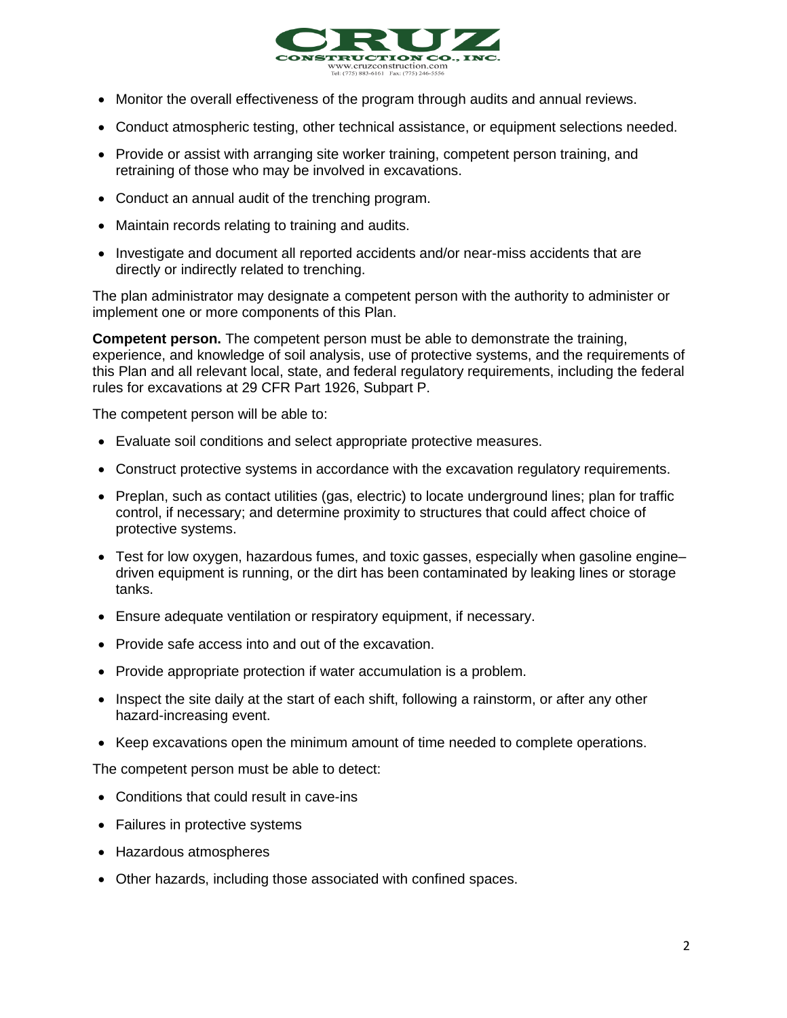

- Monitor the overall effectiveness of the program through audits and annual reviews.
- Conduct atmospheric testing, other technical assistance, or equipment selections needed.
- Provide or assist with arranging site worker training, competent person training, and retraining of those who may be involved in excavations.
- Conduct an annual audit of the trenching program.
- Maintain records relating to training and audits.
- Investigate and document all reported accidents and/or near-miss accidents that are directly or indirectly related to trenching.

The plan administrator may designate a competent person with the authority to administer or implement one or more components of this Plan.

**Competent person.** The competent person must be able to demonstrate the training, experience, and knowledge of soil analysis, use of protective systems, and the requirements of this Plan and all relevant local, state, and federal regulatory requirements, including the federal rules for excavations at 29 CFR Part 1926, Subpart P.

The competent person will be able to:

- Evaluate soil conditions and select appropriate protective measures.
- Construct protective systems in accordance with the excavation regulatory requirements.
- Preplan, such as contact utilities (gas, electric) to locate underground lines; plan for traffic control, if necessary; and determine proximity to structures that could affect choice of protective systems.
- Test for low oxygen, hazardous fumes, and toxic gasses, especially when gasoline engine– driven equipment is running, or the dirt has been contaminated by leaking lines or storage tanks.
- Ensure adequate ventilation or respiratory equipment, if necessary.
- Provide safe access into and out of the excavation.
- Provide appropriate protection if water accumulation is a problem.
- Inspect the site daily at the start of each shift, following a rainstorm, or after any other hazard-increasing event.
- Keep excavations open the minimum amount of time needed to complete operations.

The competent person must be able to detect:

- Conditions that could result in cave-ins
- Failures in protective systems
- Hazardous atmospheres
- Other hazards, including those associated with confined spaces.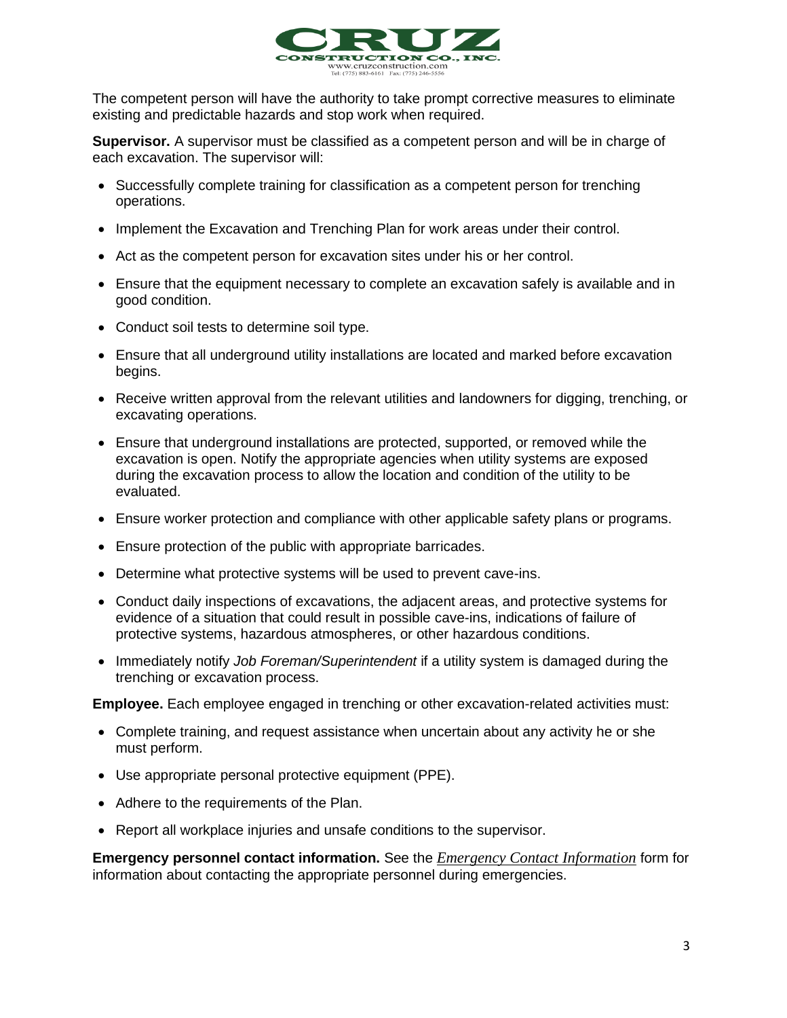

The competent person will have the authority to take prompt corrective measures to eliminate existing and predictable hazards and stop work when required.

**Supervisor.** A supervisor must be classified as a competent person and will be in charge of each excavation. The supervisor will:

- Successfully complete training for classification as a competent person for trenching operations.
- Implement the Excavation and Trenching Plan for work areas under their control.
- Act as the competent person for excavation sites under his or her control.
- Ensure that the equipment necessary to complete an excavation safely is available and in good condition.
- Conduct soil tests to determine soil type.
- Ensure that all underground utility installations are located and marked before excavation begins.
- Receive written approval from the relevant utilities and landowners for digging, trenching, or excavating operations.
- Ensure that underground installations are protected, supported, or removed while the excavation is open. Notify the appropriate agencies when utility systems are exposed during the excavation process to allow the location and condition of the utility to be evaluated.
- Ensure worker protection and compliance with other applicable safety plans or programs.
- Ensure protection of the public with appropriate barricades.
- Determine what protective systems will be used to prevent cave-ins.
- Conduct daily inspections of excavations, the adjacent areas, and protective systems for evidence of a situation that could result in possible cave-ins, indications of failure of protective systems, hazardous atmospheres, or other hazardous conditions.
- Immediately notify *Job Foreman/Superintendent* if a utility system is damaged during the trenching or excavation process.

**Employee.** Each employee engaged in trenching or other excavation-related activities must:

- Complete training, and request assistance when uncertain about any activity he or she must perform.
- Use appropriate personal protective equipment (PPE).
- Adhere to the requirements of the Plan.
- Report all workplace injuries and unsafe conditions to the supervisor.

**Emergency personnel contact information.** See the *Emergency Contact Information* form for information about contacting the appropriate personnel during emergencies.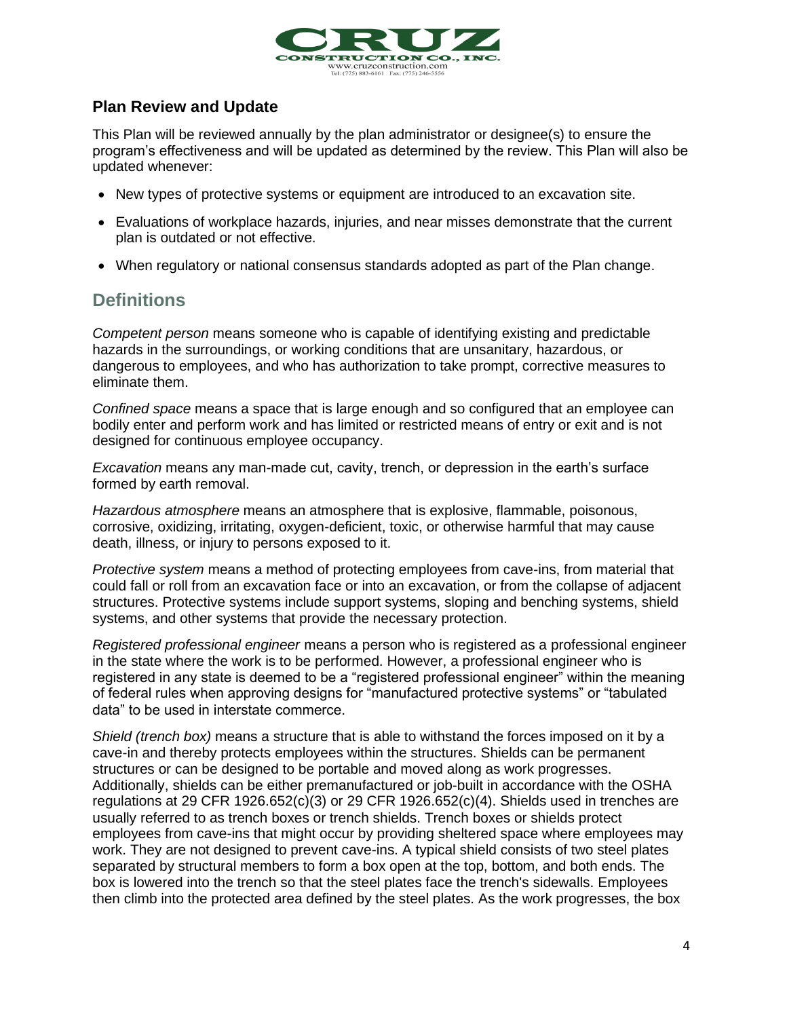

## **Plan Review and Update**

This Plan will be reviewed annually by the plan administrator or designee(s) to ensure the program's effectiveness and will be updated as determined by the review. This Plan will also be updated whenever:

- New types of protective systems or equipment are introduced to an excavation site.
- Evaluations of workplace hazards, injuries, and near misses demonstrate that the current plan is outdated or not effective.
- When regulatory or national consensus standards adopted as part of the Plan change.

## **Definitions**

*Competent person* means someone who is capable of identifying existing and predictable hazards in the surroundings, or working conditions that are unsanitary, hazardous, or dangerous to employees, and who has authorization to take prompt, corrective measures to eliminate them.

*Confined space* means a space that is large enough and so configured that an employee can bodily enter and perform work and has limited or restricted means of entry or exit and is not designed for continuous employee occupancy.

*Excavation* means any man-made cut, cavity, trench, or depression in the earth's surface formed by earth removal.

*Hazardous atmosphere* means an atmosphere that is explosive, flammable, poisonous, corrosive, oxidizing, irritating, oxygen-deficient, toxic, or otherwise harmful that may cause death, illness, or injury to persons exposed to it.

*Protective system* means a method of protecting employees from cave-ins, from material that could fall or roll from an excavation face or into an excavation, or from the collapse of adjacent structures. Protective systems include support systems, sloping and benching systems, shield systems, and other systems that provide the necessary protection.

*Registered professional engineer* means a person who is registered as a professional engineer in the state where the work is to be performed. However, a professional engineer who is registered in any state is deemed to be a "registered professional engineer" within the meaning of federal rules when approving designs for "manufactured protective systems" or "tabulated data" to be used in interstate commerce.

*Shield (trench box)* means a structure that is able to withstand the forces imposed on it by a cave-in and thereby protects employees within the structures. Shields can be permanent structures or can be designed to be portable and moved along as work progresses. Additionally, shields can be either premanufactured or job-built in accordance with the OSHA regulations at 29 CFR 1926.652(c)(3) or 29 CFR 1926.652(c)(4). Shields used in trenches are usually referred to as trench boxes or trench shields. Trench boxes or shields protect employees from cave-ins that might occur by providing sheltered space where employees may work. They are not designed to prevent cave-ins. A typical shield consists of two steel plates separated by structural members to form a box open at the top, bottom, and both ends. The box is lowered into the trench so that the steel plates face the trench's sidewalls. Employees then climb into the protected area defined by the steel plates. As the work progresses, the box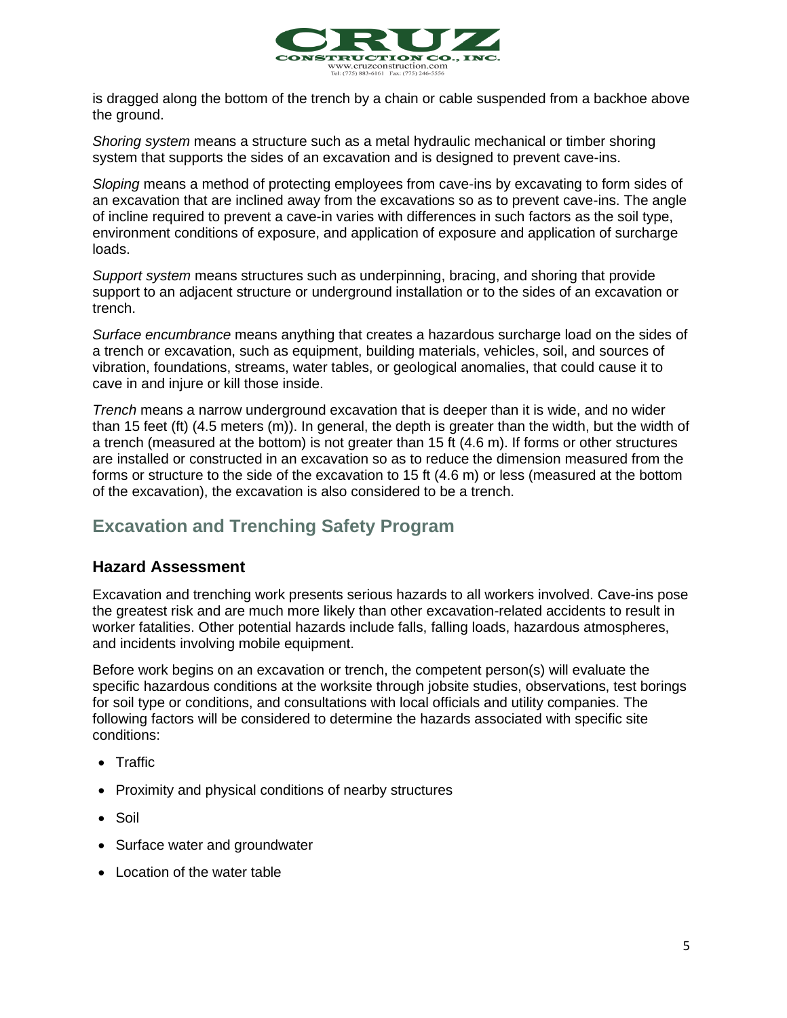

is dragged along the bottom of the trench by a chain or cable suspended from a backhoe above the ground.

*Shoring system* means a structure such as a metal hydraulic mechanical or timber shoring system that supports the sides of an excavation and is designed to prevent cave-ins.

*Sloping* means a method of protecting employees from cave-ins by excavating to form sides of an excavation that are inclined away from the excavations so as to prevent cave-ins. The angle of incline required to prevent a cave-in varies with differences in such factors as the soil type, environment conditions of exposure, and application of exposure and application of surcharge loads.

*Support system* means structures such as underpinning, bracing, and shoring that provide support to an adjacent structure or underground installation or to the sides of an excavation or trench.

*Surface encumbrance* means anything that creates a hazardous surcharge load on the sides of a trench or excavation, such as equipment, building materials, vehicles, soil, and sources of vibration, foundations, streams, water tables, or geological anomalies, that could cause it to cave in and injure or kill those inside.

*Trench* means a narrow underground excavation that is deeper than it is wide, and no wider than 15 feet (ft) (4.5 meters (m)). In general, the depth is greater than the width, but the width of a trench (measured at the bottom) is not greater than 15 ft (4.6 m). If forms or other structures are installed or constructed in an excavation so as to reduce the dimension measured from the forms or structure to the side of the excavation to 15 ft (4.6 m) or less (measured at the bottom of the excavation), the excavation is also considered to be a trench.

# **Excavation and Trenching Safety Program**

## **Hazard Assessment**

Excavation and trenching work presents serious hazards to all workers involved. Cave-ins pose the greatest risk and are much more likely than other excavation-related accidents to result in worker fatalities. Other potential hazards include falls, falling loads, hazardous atmospheres, and incidents involving mobile equipment.

Before work begins on an excavation or trench, the competent person(s) will evaluate the specific hazardous conditions at the worksite through jobsite studies, observations, test borings for soil type or conditions, and consultations with local officials and utility companies. The following factors will be considered to determine the hazards associated with specific site conditions:

- Traffic
- Proximity and physical conditions of nearby structures
- Soil
- Surface water and groundwater
- Location of the water table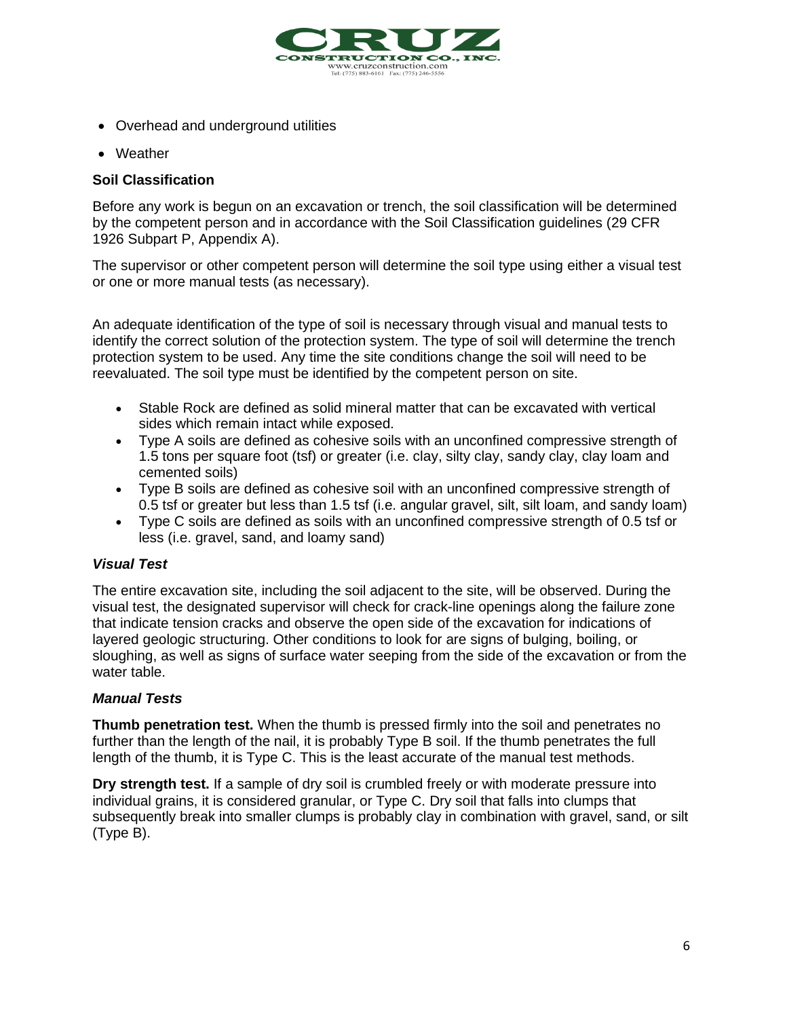

- Overhead and underground utilities
- Weather

## **Soil Classification**

Before any work is begun on an excavation or trench, the soil classification will be determined by the competent person and in accordance with the Soil Classification guidelines (29 CFR 1926 Subpart P, Appendix A).

The supervisor or other competent person will determine the soil type using either a visual test or one or more manual tests (as necessary).

An adequate identification of the type of soil is necessary through visual and manual tests to identify the correct solution of the protection system. The type of soil will determine the trench protection system to be used. Any time the site conditions change the soil will need to be reevaluated. The soil type must be identified by the competent person on site.

- Stable Rock are defined as solid mineral matter that can be excavated with vertical sides which remain intact while exposed.
- Type A soils are defined as cohesive soils with an unconfined compressive strength of 1.5 tons per square foot (tsf) or greater (i.e. clay, silty clay, sandy clay, clay loam and cemented soils)
- Type B soils are defined as cohesive soil with an unconfined compressive strength of 0.5 tsf or greater but less than 1.5 tsf (i.e. angular gravel, silt, silt loam, and sandy loam)
- Type C soils are defined as soils with an unconfined compressive strength of 0.5 tsf or less (i.e. gravel, sand, and loamy sand)

## *Visual Test*

The entire excavation site, including the soil adjacent to the site, will be observed. During the visual test, the designated supervisor will check for crack-line openings along the failure zone that indicate tension cracks and observe the open side of the excavation for indications of layered geologic structuring. Other conditions to look for are signs of bulging, boiling, or sloughing, as well as signs of surface water seeping from the side of the excavation or from the water table.

## *Manual Tests*

**Thumb penetration test.** When the thumb is pressed firmly into the soil and penetrates no further than the length of the nail, it is probably Type B soil. If the thumb penetrates the full length of the thumb, it is Type C. This is the least accurate of the manual test methods.

**Dry strength test.** If a sample of dry soil is crumbled freely or with moderate pressure into individual grains, it is considered granular, or Type C. Dry soil that falls into clumps that subsequently break into smaller clumps is probably clay in combination with gravel, sand, or silt (Type B).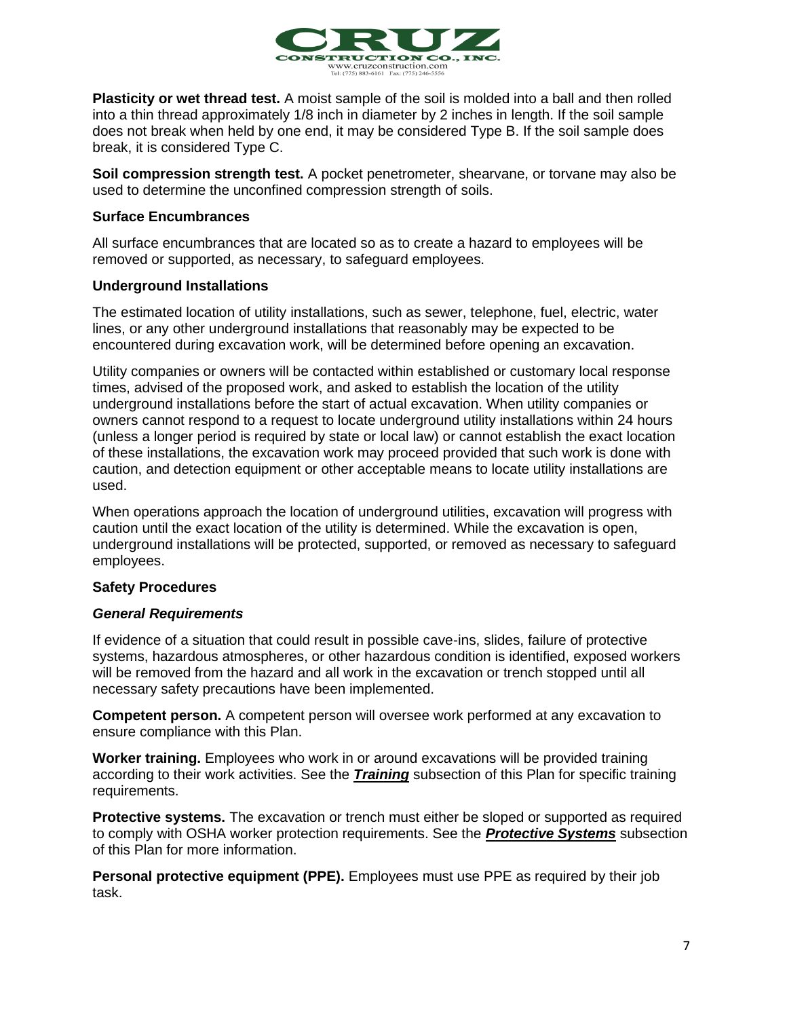

**Plasticity or wet thread test.** A moist sample of the soil is molded into a ball and then rolled into a thin thread approximately 1/8 inch in diameter by 2 inches in length. If the soil sample does not break when held by one end, it may be considered Type B. If the soil sample does break, it is considered Type C.

**Soil compression strength test.** A pocket penetrometer, shearvane, or torvane may also be used to determine the unconfined compression strength of soils.

#### **Surface Encumbrances**

All surface encumbrances that are located so as to create a hazard to employees will be removed or supported, as necessary, to safeguard employees.

#### **Underground Installations**

The estimated location of utility installations, such as sewer, telephone, fuel, electric, water lines, or any other underground installations that reasonably may be expected to be encountered during excavation work, will be determined before opening an excavation.

Utility companies or owners will be contacted within established or customary local response times, advised of the proposed work, and asked to establish the location of the utility underground installations before the start of actual excavation. When utility companies or owners cannot respond to a request to locate underground utility installations within 24 hours (unless a longer period is required by state or local law) or cannot establish the exact location of these installations, the excavation work may proceed provided that such work is done with caution, and detection equipment or other acceptable means to locate utility installations are used.

When operations approach the location of underground utilities, excavation will progress with caution until the exact location of the utility is determined. While the excavation is open, underground installations will be protected, supported, or removed as necessary to safeguard employees.

## **Safety Procedures**

#### *General Requirements*

If evidence of a situation that could result in possible cave-ins, slides, failure of protective systems, hazardous atmospheres, or other hazardous condition is identified, exposed workers will be removed from the hazard and all work in the excavation or trench stopped until all necessary safety precautions have been implemented.

**Competent person.** A competent person will oversee work performed at any excavation to ensure compliance with this Plan.

**Worker training.** Employees who work in or around excavations will be provided training according to their work activities. See the *Training* subsection of this Plan for specific training requirements.

**Protective systems.** The excavation or trench must either be sloped or supported as required to comply with OSHA worker protection requirements. See the *Protective Systems* subsection of this Plan for more information.

**Personal protective equipment (PPE).** Employees must use PPE as required by their job task.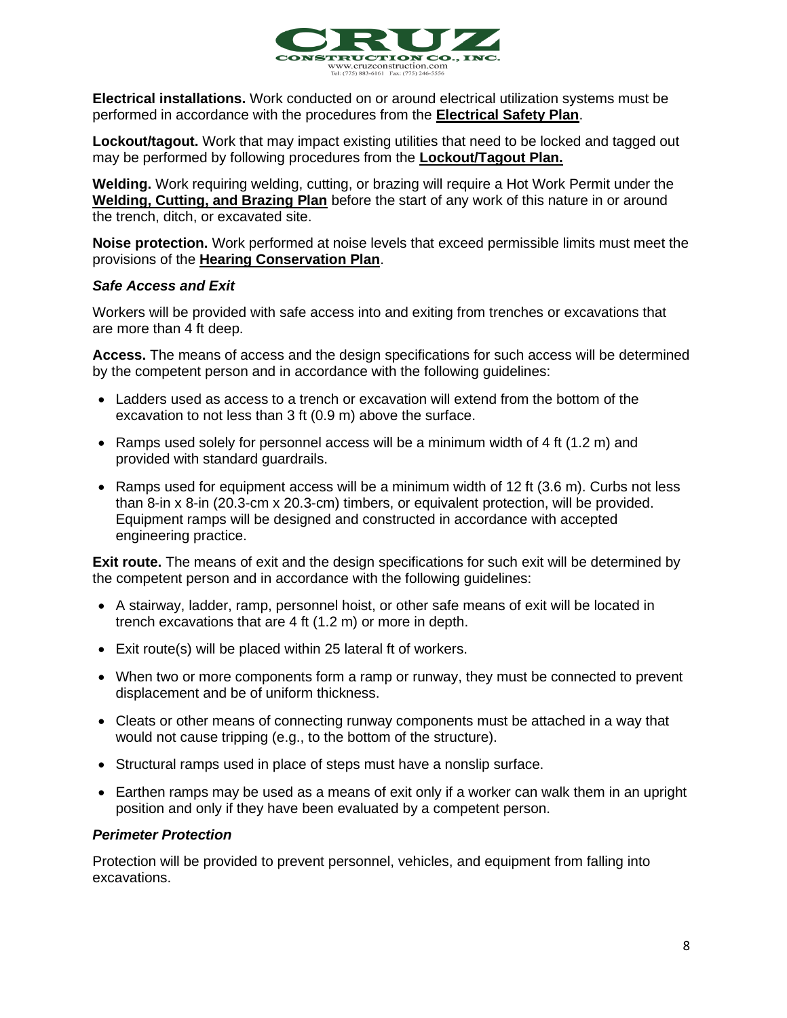

**Electrical installations.** Work conducted on or around electrical utilization systems must be performed in accordance with the procedures from the **Electrical Safety Plan**.

**Lockout/tagout.** Work that may impact existing utilities that need to be locked and tagged out may be performed by following procedures from the **Lockout/Tagout Plan.**

**Welding.** Work requiring welding, cutting, or brazing will require a Hot Work Permit under the **Welding, Cutting, and Brazing Plan** before the start of any work of this nature in or around the trench, ditch, or excavated site.

**Noise protection.** Work performed at noise levels that exceed permissible limits must meet the provisions of the **Hearing Conservation Plan**.

#### *Safe Access and Exit*

Workers will be provided with safe access into and exiting from trenches or excavations that are more than 4 ft deep.

**Access.** The means of access and the design specifications for such access will be determined by the competent person and in accordance with the following guidelines:

- Ladders used as access to a trench or excavation will extend from the bottom of the excavation to not less than 3 ft (0.9 m) above the surface.
- Ramps used solely for personnel access will be a minimum width of 4 ft (1.2 m) and provided with standard guardrails.
- Ramps used for equipment access will be a minimum width of 12 ft (3.6 m). Curbs not less than 8-in x 8-in (20.3-cm x 20.3-cm) timbers, or equivalent protection, will be provided. Equipment ramps will be designed and constructed in accordance with accepted engineering practice.

**Exit route.** The means of exit and the design specifications for such exit will be determined by the competent person and in accordance with the following guidelines:

- A stairway, ladder, ramp, personnel hoist, or other safe means of exit will be located in trench excavations that are 4 ft (1.2 m) or more in depth.
- Exit route(s) will be placed within 25 lateral ft of workers.
- When two or more components form a ramp or runway, they must be connected to prevent displacement and be of uniform thickness.
- Cleats or other means of connecting runway components must be attached in a way that would not cause tripping (e.g., to the bottom of the structure).
- Structural ramps used in place of steps must have a nonslip surface.
- Earthen ramps may be used as a means of exit only if a worker can walk them in an upright position and only if they have been evaluated by a competent person.

#### *Perimeter Protection*

Protection will be provided to prevent personnel, vehicles, and equipment from falling into excavations.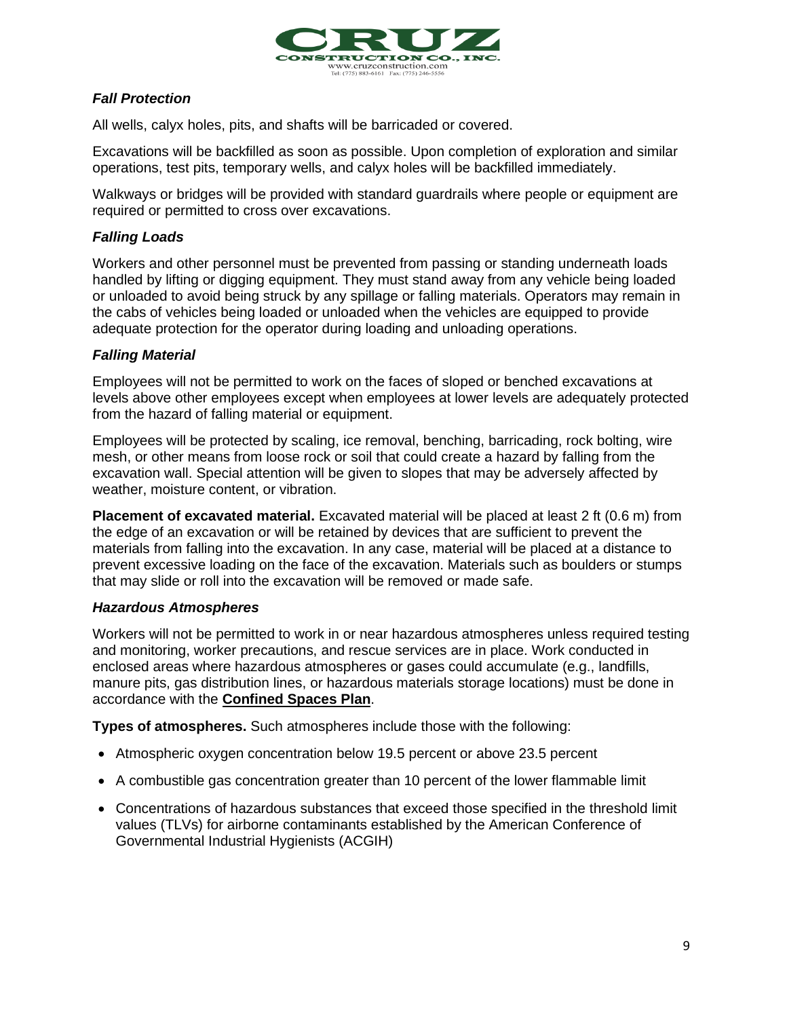

## *Fall Protection*

All wells, calyx holes, pits, and shafts will be barricaded or covered.

Excavations will be backfilled as soon as possible. Upon completion of exploration and similar operations, test pits, temporary wells, and calyx holes will be backfilled immediately.

Walkways or bridges will be provided with standard guardrails where people or equipment are required or permitted to cross over excavations.

## *Falling Loads*

Workers and other personnel must be prevented from passing or standing underneath loads handled by lifting or digging equipment. They must stand away from any vehicle being loaded or unloaded to avoid being struck by any spillage or falling materials. Operators may remain in the cabs of vehicles being loaded or unloaded when the vehicles are equipped to provide adequate protection for the operator during loading and unloading operations.

## *Falling Material*

Employees will not be permitted to work on the faces of sloped or benched excavations at levels above other employees except when employees at lower levels are adequately protected from the hazard of falling material or equipment.

Employees will be protected by scaling, ice removal, benching, barricading, rock bolting, wire mesh, or other means from loose rock or soil that could create a hazard by falling from the excavation wall. Special attention will be given to slopes that may be adversely affected by weather, moisture content, or vibration.

**Placement of excavated material.** Excavated material will be placed at least 2 ft (0.6 m) from the edge of an excavation or will be retained by devices that are sufficient to prevent the materials from falling into the excavation. In any case, material will be placed at a distance to prevent excessive loading on the face of the excavation. Materials such as boulders or stumps that may slide or roll into the excavation will be removed or made safe.

## *Hazardous Atmospheres*

Workers will not be permitted to work in or near hazardous atmospheres unless required testing and monitoring, worker precautions, and rescue services are in place. Work conducted in enclosed areas where hazardous atmospheres or gases could accumulate (e.g., landfills, manure pits, gas distribution lines, or hazardous materials storage locations) must be done in accordance with the **Confined Spaces Plan**.

**Types of atmospheres.** Such atmospheres include those with the following:

- Atmospheric oxygen concentration below 19.5 percent or above 23.5 percent
- A combustible gas concentration greater than 10 percent of the lower flammable limit
- Concentrations of hazardous substances that exceed those specified in the threshold limit values (TLVs) for airborne contaminants established by the American Conference of Governmental Industrial Hygienists (ACGIH)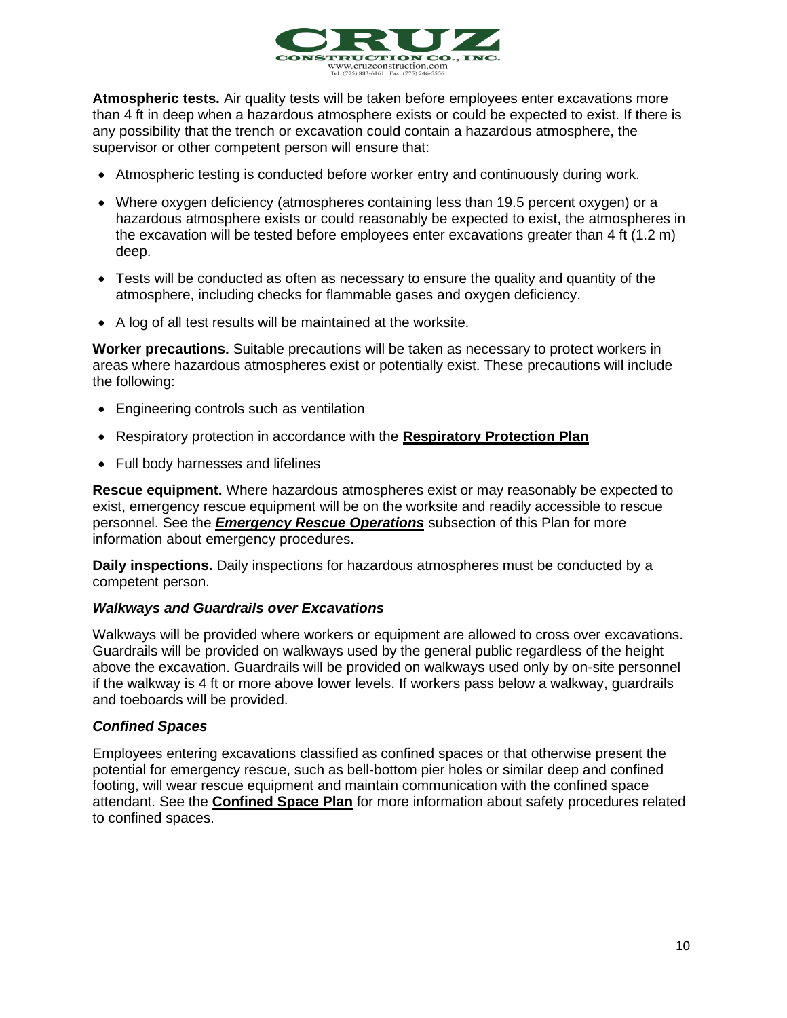

**Atmospheric tests.** Air quality tests will be taken before employees enter excavations more than 4 ft in deep when a hazardous atmosphere exists or could be expected to exist. If there is any possibility that the trench or excavation could contain a hazardous atmosphere, the supervisor or other competent person will ensure that:

- Atmospheric testing is conducted before worker entry and continuously during work.
- Where oxygen deficiency (atmospheres containing less than 19.5 percent oxygen) or a hazardous atmosphere exists or could reasonably be expected to exist, the atmospheres in the excavation will be tested before employees enter excavations greater than 4 ft  $(1.2 \text{ m})$ deep.
- Tests will be conducted as often as necessary to ensure the quality and quantity of the atmosphere, including checks for flammable gases and oxygen deficiency.
- A log of all test results will be maintained at the worksite.

**Worker precautions.** Suitable precautions will be taken as necessary to protect workers in areas where hazardous atmospheres exist or potentially exist. These precautions will include the following:

- Engineering controls such as ventilation
- Respiratory protection in accordance with the **Respiratory Protection Plan**
- Full body harnesses and lifelines

**Rescue equipment.** Where hazardous atmospheres exist or may reasonably be expected to exist, emergency rescue equipment will be on the worksite and readily accessible to rescue personnel. See the *Emergency Rescue Operations* subsection of this Plan for more information about emergency procedures.

**Daily inspections.** Daily inspections for hazardous atmospheres must be conducted by a competent person.

## *Walkways and Guardrails over Excavations*

Walkways will be provided where workers or equipment are allowed to cross over excavations. Guardrails will be provided on walkways used by the general public regardless of the height above the excavation. Guardrails will be provided on walkways used only by on-site personnel if the walkway is 4 ft or more above lower levels. If workers pass below a walkway, guardrails and toeboards will be provided.

#### *Confined Spaces*

Employees entering excavations classified as confined spaces or that otherwise present the potential for emergency rescue, such as bell-bottom pier holes or similar deep and confined footing, will wear rescue equipment and maintain communication with the confined space attendant. See the **Confined Space Plan** for more information about safety procedures related to confined spaces.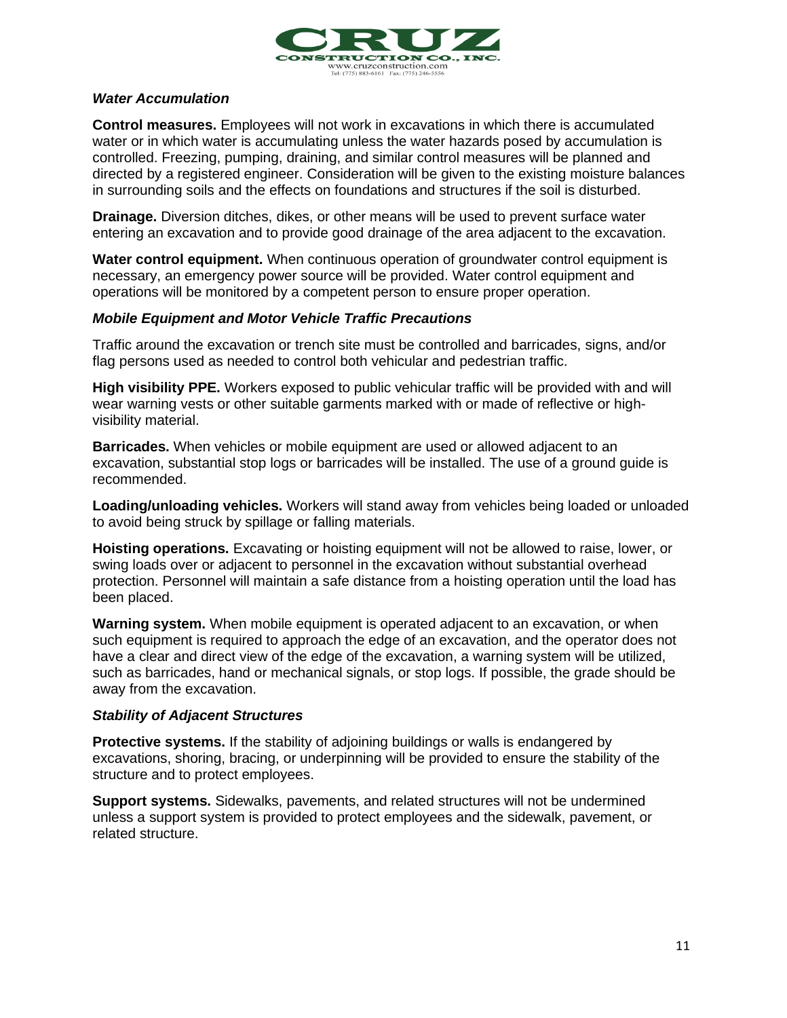

#### *Water Accumulation*

**Control measures.** Employees will not work in excavations in which there is accumulated water or in which water is accumulating unless the water hazards posed by accumulation is controlled. Freezing, pumping, draining, and similar control measures will be planned and directed by a registered engineer. Consideration will be given to the existing moisture balances in surrounding soils and the effects on foundations and structures if the soil is disturbed.

**Drainage.** Diversion ditches, dikes, or other means will be used to prevent surface water entering an excavation and to provide good drainage of the area adjacent to the excavation.

**Water control equipment.** When continuous operation of groundwater control equipment is necessary, an emergency power source will be provided. Water control equipment and operations will be monitored by a competent person to ensure proper operation.

#### *Mobile Equipment and Motor Vehicle Traffic Precautions*

Traffic around the excavation or trench site must be controlled and barricades, signs, and/or flag persons used as needed to control both vehicular and pedestrian traffic.

**High visibility PPE.** Workers exposed to public vehicular traffic will be provided with and will wear warning vests or other suitable garments marked with or made of reflective or highvisibility material.

**Barricades.** When vehicles or mobile equipment are used or allowed adjacent to an excavation, substantial stop logs or barricades will be installed. The use of a ground guide is recommended.

**Loading/unloading vehicles.** Workers will stand away from vehicles being loaded or unloaded to avoid being struck by spillage or falling materials.

**Hoisting operations.** Excavating or hoisting equipment will not be allowed to raise, lower, or swing loads over or adjacent to personnel in the excavation without substantial overhead protection. Personnel will maintain a safe distance from a hoisting operation until the load has been placed.

**Warning system.** When mobile equipment is operated adjacent to an excavation, or when such equipment is required to approach the edge of an excavation, and the operator does not have a clear and direct view of the edge of the excavation, a warning system will be utilized, such as barricades, hand or mechanical signals, or stop logs. If possible, the grade should be away from the excavation.

#### *Stability of Adjacent Structures*

**Protective systems.** If the stability of adjoining buildings or walls is endangered by excavations, shoring, bracing, or underpinning will be provided to ensure the stability of the structure and to protect employees.

**Support systems.** Sidewalks, pavements, and related structures will not be undermined unless a support system is provided to protect employees and the sidewalk, pavement, or related structure.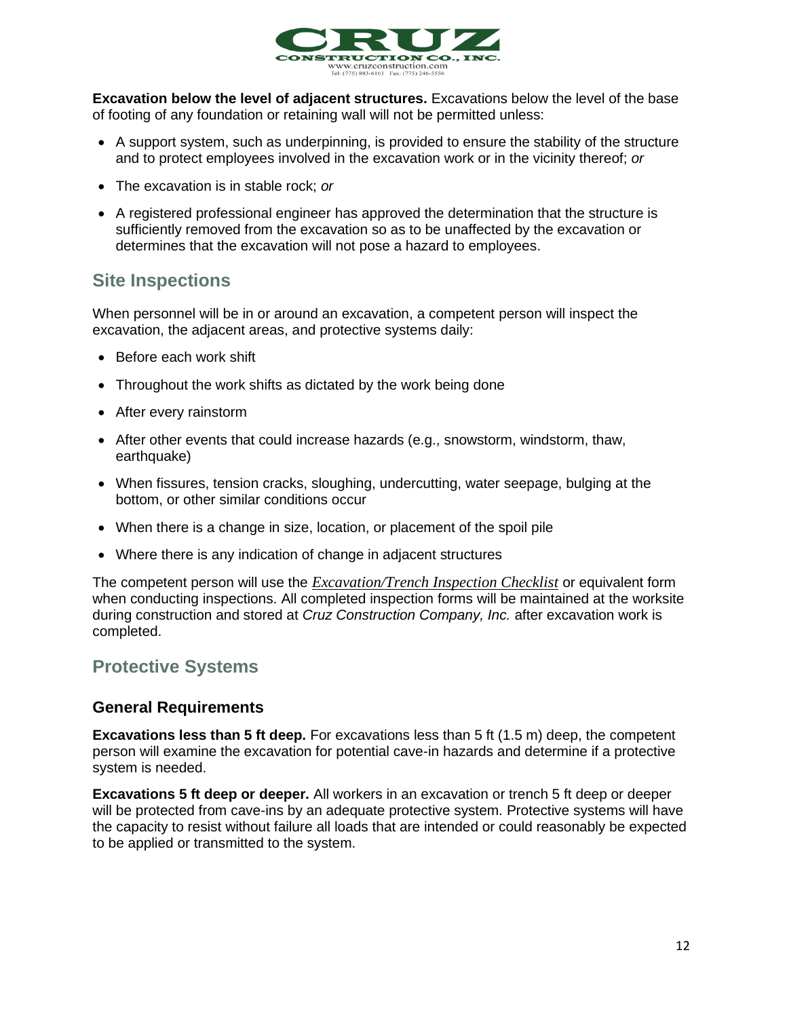

**Excavation below the level of adjacent structures.** Excavations below the level of the base of footing of any foundation or retaining wall will not be permitted unless:

- A support system, such as underpinning, is provided to ensure the stability of the structure and to protect employees involved in the excavation work or in the vicinity thereof; *or*
- The excavation is in stable rock; *or*
- A registered professional engineer has approved the determination that the structure is sufficiently removed from the excavation so as to be unaffected by the excavation or determines that the excavation will not pose a hazard to employees.

## **Site Inspections**

When personnel will be in or around an excavation, a competent person will inspect the excavation, the adjacent areas, and protective systems daily:

- Before each work shift
- Throughout the work shifts as dictated by the work being done
- After every rainstorm
- After other events that could increase hazards (e.g., snowstorm, windstorm, thaw, earthquake)
- When fissures, tension cracks, sloughing, undercutting, water seepage, bulging at the bottom, or other similar conditions occur
- When there is a change in size, location, or placement of the spoil pile
- Where there is any indication of change in adjacent structures

The competent person will use the *Excavation/Trench Inspection Checklist* or equivalent form when conducting inspections. All completed inspection forms will be maintained at the worksite during construction and stored at *Cruz Construction Company, Inc.* after excavation work is completed.

## **Protective Systems**

## **General Requirements**

**Excavations less than 5 ft deep.** For excavations less than 5 ft (1.5 m) deep, the competent person will examine the excavation for potential cave-in hazards and determine if a protective system is needed.

**Excavations 5 ft deep or deeper.** All workers in an excavation or trench 5 ft deep or deeper will be protected from cave-ins by an adequate protective system. Protective systems will have the capacity to resist without failure all loads that are intended or could reasonably be expected to be applied or transmitted to the system.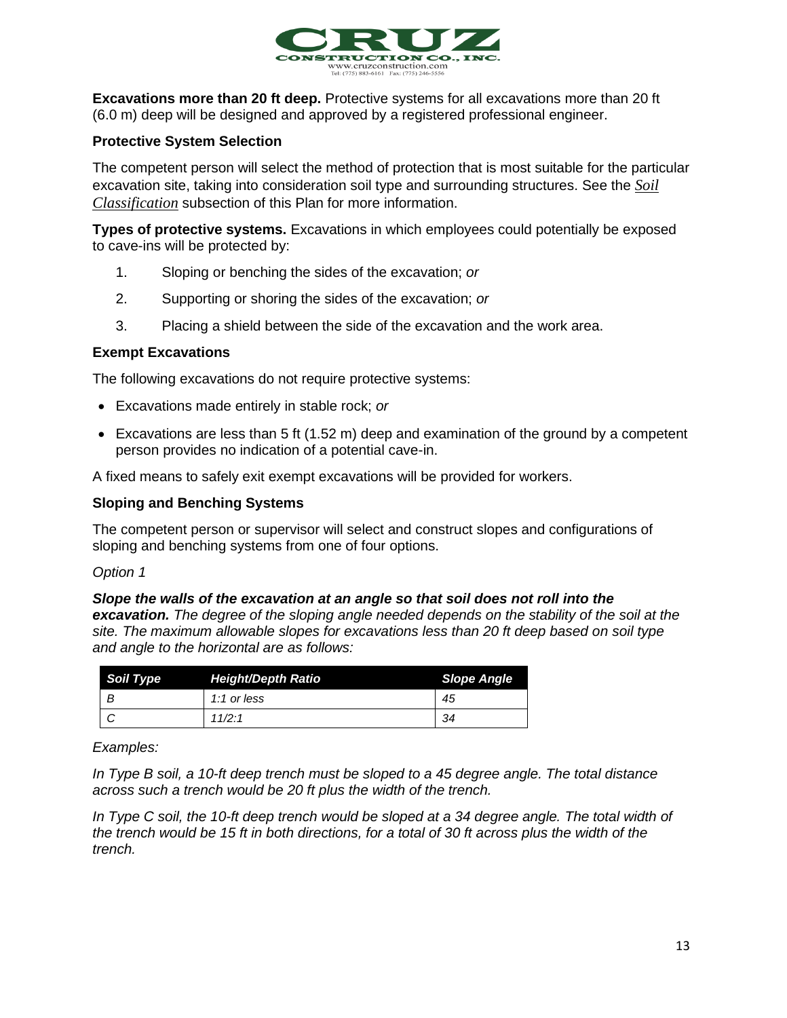

**Excavations more than 20 ft deep.** Protective systems for all excavations more than 20 ft (6.0 m) deep will be designed and approved by a registered professional engineer.

## **Protective System Selection**

The competent person will select the method of protection that is most suitable for the particular excavation site, taking into consideration soil type and surrounding structures. See the *Soil Classification* subsection of this Plan for more information.

**Types of protective systems.** Excavations in which employees could potentially be exposed to cave-ins will be protected by:

- 1. Sloping or benching the sides of the excavation; *or*
- 2. Supporting or shoring the sides of the excavation; *or*
- 3. Placing a shield between the side of the excavation and the work area.

#### **Exempt Excavations**

The following excavations do not require protective systems:

- Excavations made entirely in stable rock; *or*
- Excavations are less than 5 ft (1.52 m) deep and examination of the ground by a competent person provides no indication of a potential cave-in.

A fixed means to safely exit exempt excavations will be provided for workers.

#### **Sloping and Benching Systems**

The competent person or supervisor will select and construct slopes and configurations of sloping and benching systems from one of four options.

#### *Option 1*

#### *Slope the walls of the excavation at an angle so that soil does not roll into the*

*excavation. The degree of the sloping angle needed depends on the stability of the soil at the site. The maximum allowable slopes for excavations less than 20 ft deep based on soil type and angle to the horizontal are as follows:*

| Soil Type | <b>Height/Depth Ratio</b> | Slope Angle |
|-----------|---------------------------|-------------|
|           | 1:1 or less               | 45          |
|           | 11/2:1                    | 34          |

#### *Examples:*

*In Type B soil, a 10-ft deep trench must be sloped to a 45 degree angle. The total distance across such a trench would be 20 ft plus the width of the trench.*

In Type C soil, the 10-ft deep trench would be sloped at a 34 degree angle. The total width of *the trench would be 15 ft in both directions, for a total of 30 ft across plus the width of the trench.*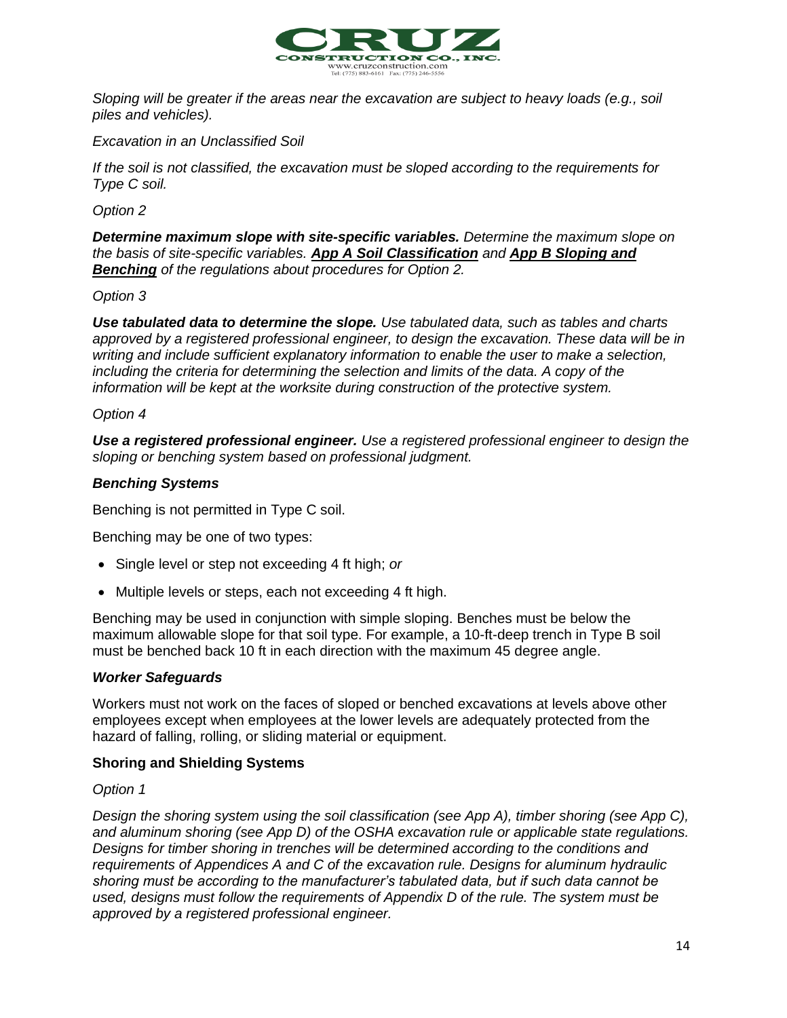

*Sloping will be greater if the areas near the excavation are subject to heavy loads (e.g., soil piles and vehicles).*

#### *Excavation in an Unclassified Soil*

*If the soil is not classified, the excavation must be sloped according to the requirements for Type C soil.*

*Option 2*

*Determine maximum slope with site-specific variables. Determine the maximum slope on the basis of site-specific variables. App A Soil Classification and App B Sloping and Benching of the regulations about procedures for Option 2.*

#### *Option 3*

*Use tabulated data to determine the slope. Use tabulated data, such as tables and charts approved by a registered professional engineer, to design the excavation. These data will be in writing and include sufficient explanatory information to enable the user to make a selection, including the criteria for determining the selection and limits of the data. A copy of the information will be kept at the worksite during construction of the protective system.*

#### *Option 4*

*Use a registered professional engineer. Use a registered professional engineer to design the sloping or benching system based on professional judgment.*

## *Benching Systems*

Benching is not permitted in Type C soil.

Benching may be one of two types:

- Single level or step not exceeding 4 ft high; *or*
- Multiple levels or steps, each not exceeding 4 ft high.

Benching may be used in conjunction with simple sloping. Benches must be below the maximum allowable slope for that soil type. For example, a 10-ft-deep trench in Type B soil must be benched back 10 ft in each direction with the maximum 45 degree angle.

#### *Worker Safeguards*

Workers must not work on the faces of sloped or benched excavations at levels above other employees except when employees at the lower levels are adequately protected from the hazard of falling, rolling, or sliding material or equipment.

#### **Shoring and Shielding Systems**

#### *Option 1*

*Design the shoring system using the soil classification (see App A), timber shoring (see App C), and aluminum shoring (see App D) of the OSHA excavation rule or applicable state regulations. Designs for timber shoring in trenches will be determined according to the conditions and requirements of Appendices A and C of the excavation rule. Designs for aluminum hydraulic shoring must be according to the manufacturer's tabulated data, but if such data cannot be used, designs must follow the requirements of Appendix D of the rule. The system must be approved by a registered professional engineer.*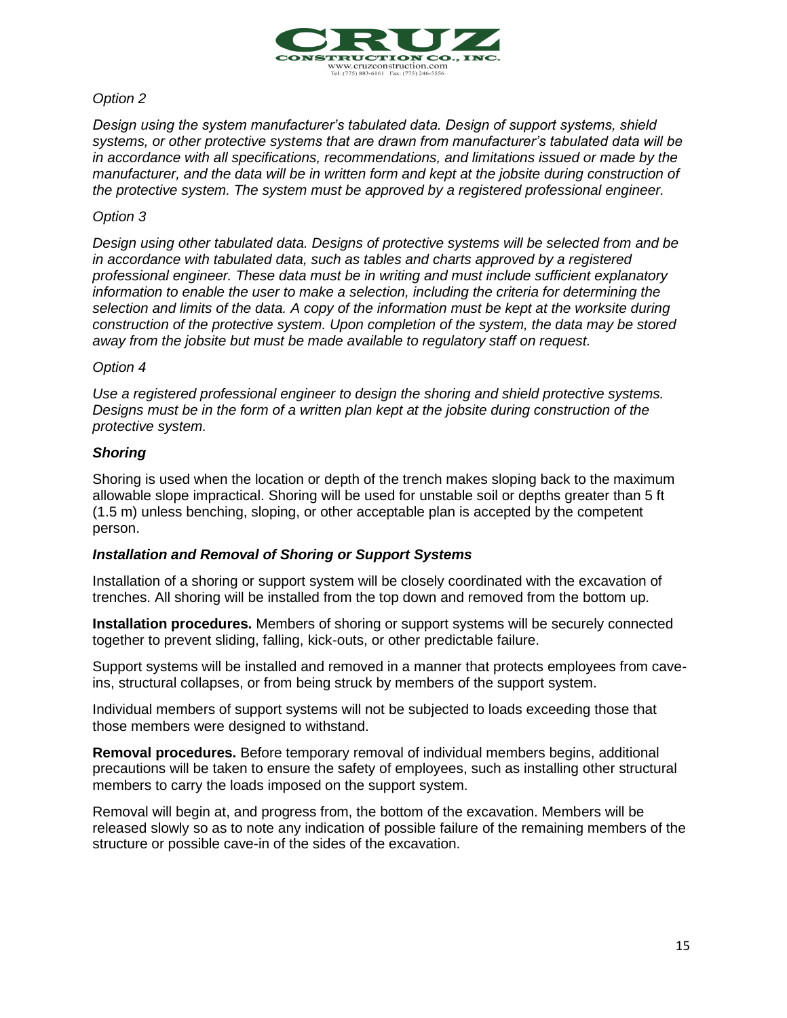

## *Option 2*

*Design using the system manufacturer's tabulated data. Design of support systems, shield systems, or other protective systems that are drawn from manufacturer's tabulated data will be in accordance with all specifications, recommendations, and limitations issued or made by the manufacturer, and the data will be in written form and kept at the jobsite during construction of the protective system. The system must be approved by a registered professional engineer.*

#### *Option 3*

*Design using other tabulated data. Designs of protective systems will be selected from and be in accordance with tabulated data, such as tables and charts approved by a registered professional engineer. These data must be in writing and must include sufficient explanatory information to enable the user to make a selection, including the criteria for determining the selection and limits of the data. A copy of the information must be kept at the worksite during construction of the protective system. Upon completion of the system, the data may be stored away from the jobsite but must be made available to regulatory staff on request.*

#### *Option 4*

*Use a registered professional engineer to design the shoring and shield protective systems. Designs must be in the form of a written plan kept at the jobsite during construction of the protective system.*

#### *Shoring*

Shoring is used when the location or depth of the trench makes sloping back to the maximum allowable slope impractical. Shoring will be used for unstable soil or depths greater than 5 ft (1.5 m) unless benching, sloping, or other acceptable plan is accepted by the competent person.

#### *Installation and Removal of Shoring or Support Systems*

Installation of a shoring or support system will be closely coordinated with the excavation of trenches. All shoring will be installed from the top down and removed from the bottom up.

**Installation procedures.** Members of shoring or support systems will be securely connected together to prevent sliding, falling, kick-outs, or other predictable failure.

Support systems will be installed and removed in a manner that protects employees from caveins, structural collapses, or from being struck by members of the support system.

Individual members of support systems will not be subjected to loads exceeding those that those members were designed to withstand.

**Removal procedures.** Before temporary removal of individual members begins, additional precautions will be taken to ensure the safety of employees, such as installing other structural members to carry the loads imposed on the support system.

Removal will begin at, and progress from, the bottom of the excavation. Members will be released slowly so as to note any indication of possible failure of the remaining members of the structure or possible cave-in of the sides of the excavation.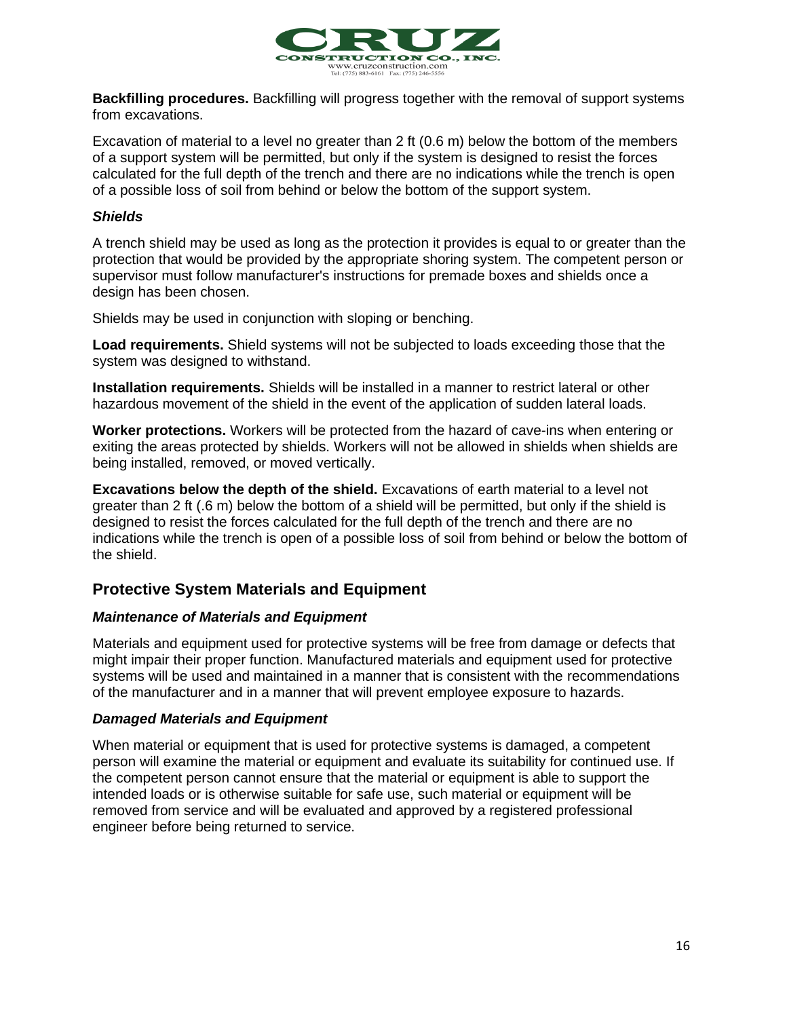

**Backfilling procedures.** Backfilling will progress together with the removal of support systems from excavations.

Excavation of material to a level no greater than 2 ft (0.6 m) below the bottom of the members of a support system will be permitted, but only if the system is designed to resist the forces calculated for the full depth of the trench and there are no indications while the trench is open of a possible loss of soil from behind or below the bottom of the support system.

#### *Shields*

A trench shield may be used as long as the protection it provides is equal to or greater than the protection that would be provided by the appropriate shoring system. The competent person or supervisor must follow manufacturer's instructions for premade boxes and shields once a design has been chosen.

Shields may be used in conjunction with sloping or benching.

**Load requirements.** Shield systems will not be subjected to loads exceeding those that the system was designed to withstand.

**Installation requirements.** Shields will be installed in a manner to restrict lateral or other hazardous movement of the shield in the event of the application of sudden lateral loads.

**Worker protections.** Workers will be protected from the hazard of cave-ins when entering or exiting the areas protected by shields. Workers will not be allowed in shields when shields are being installed, removed, or moved vertically.

**Excavations below the depth of the shield.** Excavations of earth material to a level not greater than 2 ft (.6 m) below the bottom of a shield will be permitted, but only if the shield is designed to resist the forces calculated for the full depth of the trench and there are no indications while the trench is open of a possible loss of soil from behind or below the bottom of the shield.

## **Protective System Materials and Equipment**

#### *Maintenance of Materials and Equipment*

Materials and equipment used for protective systems will be free from damage or defects that might impair their proper function. Manufactured materials and equipment used for protective systems will be used and maintained in a manner that is consistent with the recommendations of the manufacturer and in a manner that will prevent employee exposure to hazards.

#### *Damaged Materials and Equipment*

When material or equipment that is used for protective systems is damaged, a competent person will examine the material or equipment and evaluate its suitability for continued use. If the competent person cannot ensure that the material or equipment is able to support the intended loads or is otherwise suitable for safe use, such material or equipment will be removed from service and will be evaluated and approved by a registered professional engineer before being returned to service.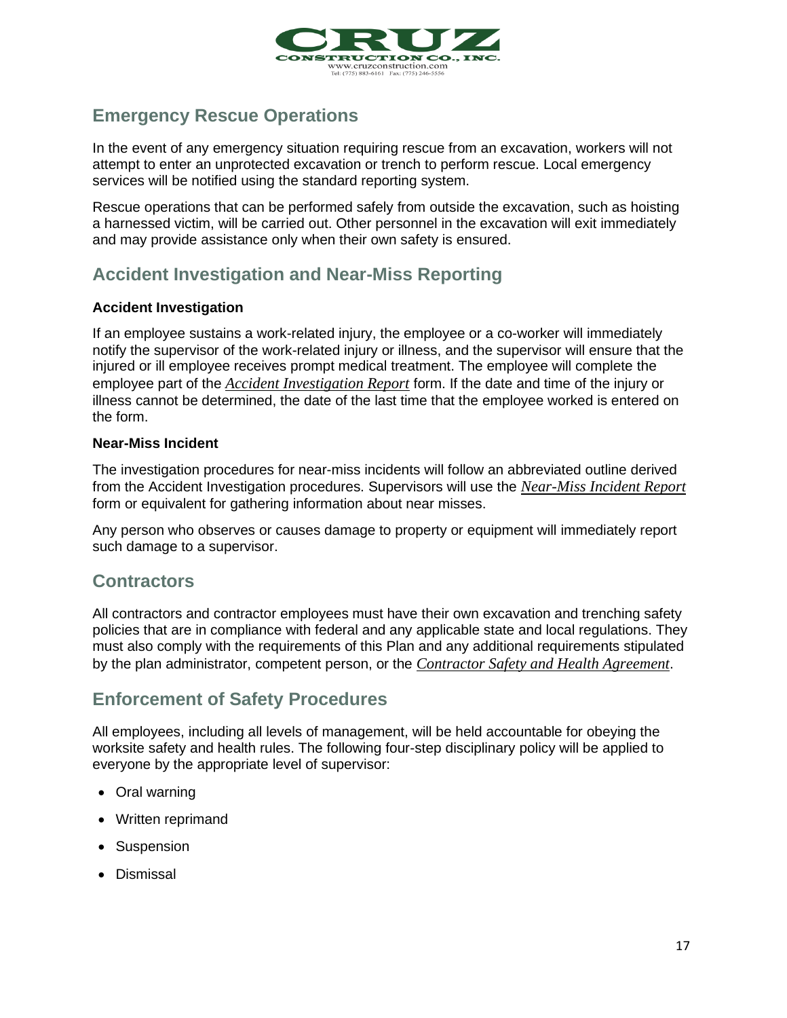

# **Emergency Rescue Operations**

In the event of any emergency situation requiring rescue from an excavation, workers will not attempt to enter an unprotected excavation or trench to perform rescue. Local emergency services will be notified using the standard reporting system.

Rescue operations that can be performed safely from outside the excavation, such as hoisting a harnessed victim, will be carried out. Other personnel in the excavation will exit immediately and may provide assistance only when their own safety is ensured.

## **Accident Investigation and Near-Miss Reporting**

## **Accident Investigation**

If an employee sustains a work-related injury, the employee or a co-worker will immediately notify the supervisor of the work-related injury or illness, and the supervisor will ensure that the injured or ill employee receives prompt medical treatment. The employee will complete the employee part of the *Accident Investigation Report* form. If the date and time of the injury or illness cannot be determined, the date of the last time that the employee worked is entered on the form.

## **Near-Miss Incident**

The investigation procedures for near-miss incidents will follow an abbreviated outline derived from the Accident Investigation procedures. Supervisors will use the *Near-Miss Incident Report* form or equivalent for gathering information about near misses.

Any person who observes or causes damage to property or equipment will immediately report such damage to a supervisor.

## **Contractors**

All contractors and contractor employees must have their own excavation and trenching safety policies that are in compliance with federal and any applicable state and local regulations. They must also comply with the requirements of this Plan and any additional requirements stipulated by the plan administrator, competent person, or the *Contractor Safety and Health Agreement*.

## **Enforcement of Safety Procedures**

All employees, including all levels of management, will be held accountable for obeying the worksite safety and health rules. The following four-step disciplinary policy will be applied to everyone by the appropriate level of supervisor:

- Oral warning
- Written reprimand
- Suspension
- Dismissal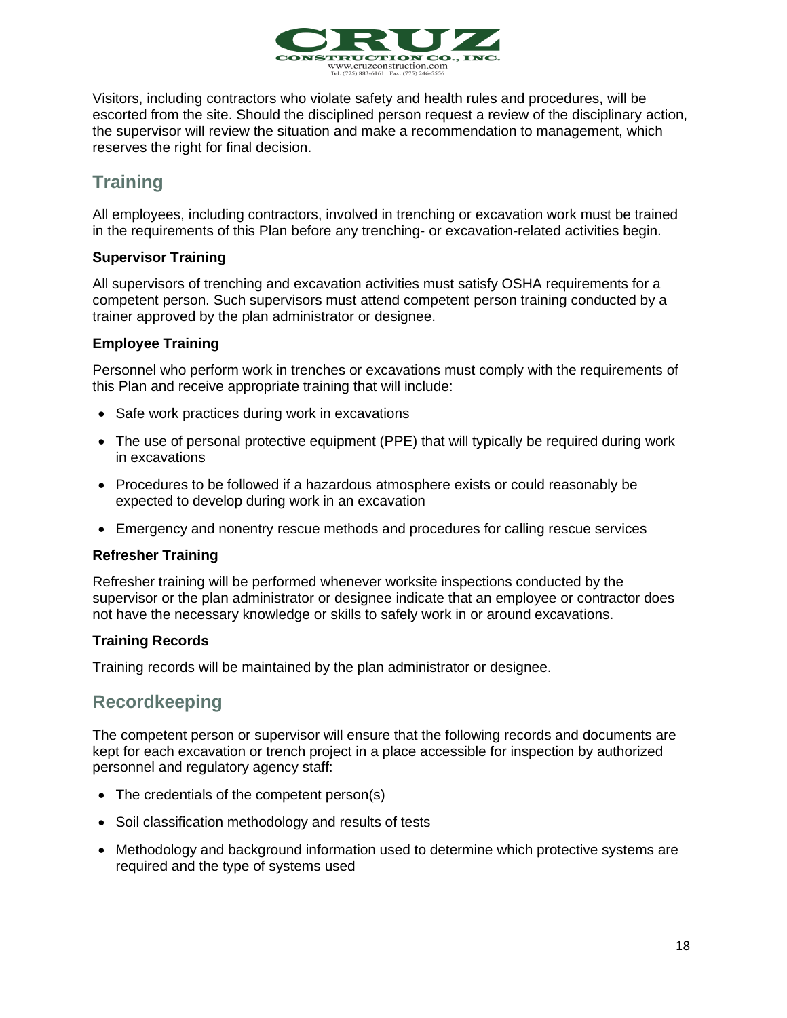

Visitors, including contractors who violate safety and health rules and procedures, will be escorted from the site. Should the disciplined person request a review of the disciplinary action, the supervisor will review the situation and make a recommendation to management, which reserves the right for final decision.

# **Training**

All employees, including contractors, involved in trenching or excavation work must be trained in the requirements of this Plan before any trenching- or excavation-related activities begin.

## **Supervisor Training**

All supervisors of trenching and excavation activities must satisfy OSHA requirements for a competent person. Such supervisors must attend competent person training conducted by a trainer approved by the plan administrator or designee.

## **Employee Training**

Personnel who perform work in trenches or excavations must comply with the requirements of this Plan and receive appropriate training that will include:

- Safe work practices during work in excavations
- The use of personal protective equipment (PPE) that will typically be required during work in excavations
- Procedures to be followed if a hazardous atmosphere exists or could reasonably be expected to develop during work in an excavation
- Emergency and nonentry rescue methods and procedures for calling rescue services

## **Refresher Training**

Refresher training will be performed whenever worksite inspections conducted by the supervisor or the plan administrator or designee indicate that an employee or contractor does not have the necessary knowledge or skills to safely work in or around excavations.

## **Training Records**

Training records will be maintained by the plan administrator or designee.

## **Recordkeeping**

The competent person or supervisor will ensure that the following records and documents are kept for each excavation or trench project in a place accessible for inspection by authorized personnel and regulatory agency staff:

- The credentials of the competent person(s)
- Soil classification methodology and results of tests
- Methodology and background information used to determine which protective systems are required and the type of systems used